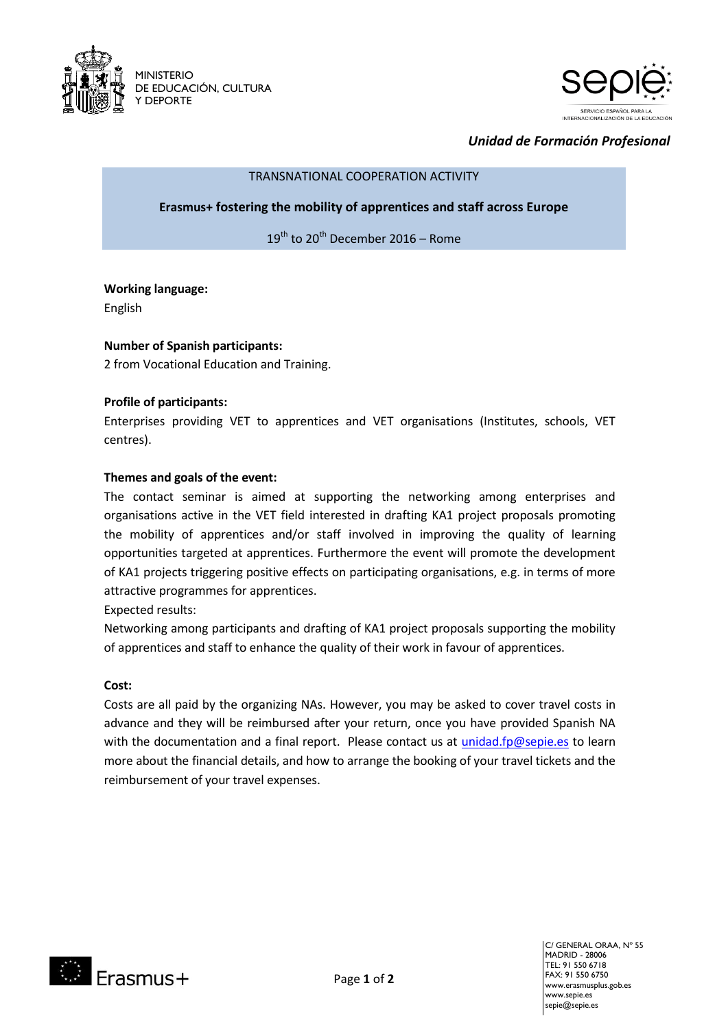



# *Unidad de Formación Profesional*

#### TRANSNATIONAL COOPERATION ACTIVITY

**Erasmus+ fostering the mobility of apprentices and staff across Europe**

 $19<sup>th</sup>$  to 20<sup>th</sup> December 2016 – Rome

## **Working language:**

English

## **Number of Spanish participants:**

2 from Vocational Education and Training.

## **Profile of participants:**

Enterprises providing VET to apprentices and VET organisations (Institutes, schools, VET centres).

## **Themes and goals of the event:**

The contact seminar is aimed at supporting the networking among enterprises and organisations active in the VET field interested in drafting KA1 project proposals promoting the mobility of apprentices and/or staff involved in improving the quality of learning opportunities targeted at apprentices. Furthermore the event will promote the development of KA1 projects triggering positive effects on participating organisations, e.g. in terms of more attractive programmes for apprentices.

Expected results:

Networking among participants and drafting of KA1 project proposals supporting the mobility of apprentices and staff to enhance the quality of their work in favour of apprentices.

## **Cost:**

Costs are all paid by the organizing NAs. However, you may be asked to cover travel costs in advance and they will be reimbursed after your return, once you have provided Spanish NA with the documentation and a final report. Please contact us at [unidad.fp@sepie.es](mailto:unidad.fp@sepie.es) to learn more about the financial details, and how to arrange the booking of your travel tickets and the reimbursement of your travel expenses.